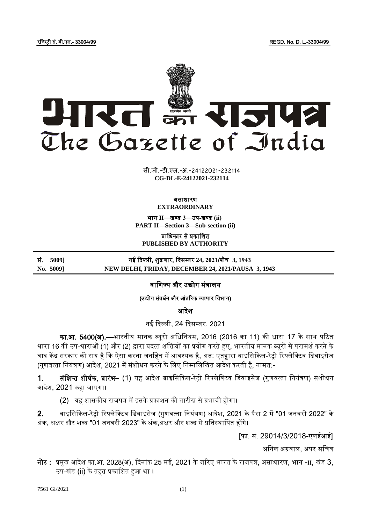रजिस्ट्री सं. डी.एल.- 33004/99 REGD. No. D. L.-33004/99



xxxx <del>Ji</del>bbay<br>**x x** 8.44.884 **xxx**GIDE**xxx CG-DL-E-24122021-232114** सी.जी.-डी.एल.-अ.-24122021-232114

#### असाधारण **EXTRAORDINARY**

भाग **II**—खण् ड **3**—उप-खण् ड **(ii) PART II—Section 3—Sub-section (ii)**

प्राजधकार से प्रकाजित **PUBLISHED BY AUTHORITY**

सं. **5009]** नई ददल्ली, िुक्रवार, ददसम् बर **24, 2021**/पौ् **3, 1943 No. 5009] NEW DELHI, FRIDAY, DECEMBER 24, 2021/PAUSA 3, 1943**

# वाणिज्य और उद्योग मंत्रालय

## (उद्योग संवर्धन और आंतरिक व्यापार विभाग)

आदेश

नई दिल्ली, 24 दिसम्बर, 2021

का.<mark>आ. 5400(अ).—</mark>भारतीय मानक ब्यूरो अधिनियम, 2016 (2016 का 11) की धारा 17 के साथ पठित धारा 16 की उप-धाराओं (1) और (2) द्वारा प्रदत्त शक्तियों का प्रयोग करते हुए, भारतीय मानक ब्यूरो से परामर्श करने के बाद केंद्र सरकार की राय है कि ऐसा करना जनहित में आवश्यक है, अत: एतद्वारा बाइसिकिल-रेट्रो रिफ्लेक्टिव डिवाइसेज (गणवत्ता नियंत्रण) आदेश, 2021 में संशोधन करने के लिए निम्नलिखित आदेश करती है, नामत:-

1. सं**क्षिप्त शीर्षक, प्रारंभ–** (1) यह आदेश बाइसिकिल-रेट्रो रिफ्लेक्टिव डिवाइसेज (गुणवत्ता नियंत्रण) संशोधन आदेश, 2021 कहा जाएगा।

(2) यह शासकीय राजपत्र में इसके प्रकाशन की तारीख से प्रभावी होगा।

2. बाइसिकिल-रेट्रो रिफ्लेक्टिव डिवाइसेज (गुणवत्ता नियंत्रण) आदेश, 2021 के पैरा 2 में "01 जनवरी 2022" के अंक, अक्षर और शब्द "01 जनवरी 2023" के अंक,अक्षर और शब्द से प्रतिस्थापित होंगे।

[फा. सं. 29014/3/2018-एलईआई]

अजनल अग्रवाल, अपर सजिव

नोट : प्रमुख आदेश का.आ. 2028(अ), दिनांक 25 मई, 2021 के जरिए भारत के राजपत्र, असाधारण, भाग -II, खंड 3, उप-खंड (ii) के तहत प्रकाशित हुआ था ।